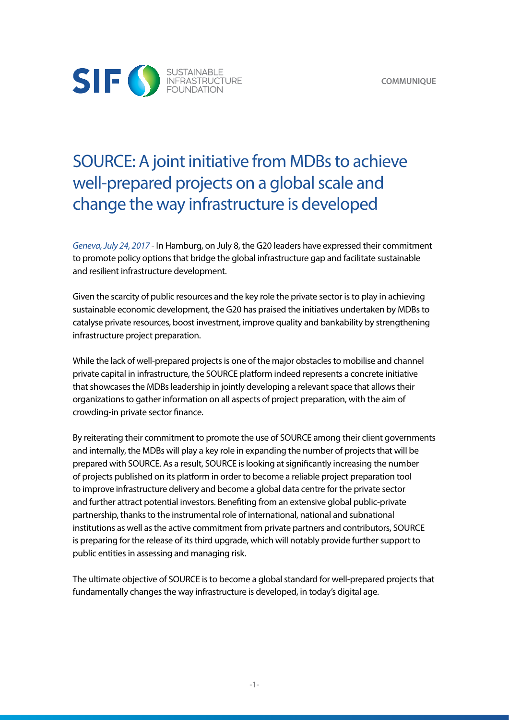

## SOURCE: A joint initiative from MDBs to achieve well-prepared projects on a global scale and change the way infrastructure is developed

*Geneva, July 24, 2017* - In Hamburg, on July 8, the G20 leaders have expressed their commitment to promote policy options that bridge the global infrastructure gap and facilitate sustainable and resilient infrastructure development.

Given the scarcity of public resources and the key role the private sector is to play in achieving sustainable economic development, the G20 has praised the initiatives undertaken by MDBs to catalyse private resources, boost investment, improve quality and bankability by strengthening infrastructure project preparation.

While the lack of well-prepared projects is one of the major obstacles to mobilise and channel private capital in infrastructure, the SOURCE platform indeed represents a concrete initiative that showcases the MDBs leadership in jointly developing a relevant space that allows their organizations to gather information on all aspects of project preparation, with the aim of crowding-in private sector finance.

By reiterating their commitment to promote the use of SOURCE among their client governments and internally, the MDBs will play a key role in expanding the number of projects that will be prepared with SOURCE. As a result, SOURCE is looking at significantly increasing the number of projects published on its platform in order to become a reliable project preparation tool to improve infrastructure delivery and become a global data centre for the private sector and further attract potential investors. Benefiting from an extensive global public-private partnership, thanks to the instrumental role of international, national and subnational institutions as well as the active commitment from private partners and contributors, SOURCE is preparing for the release of its third upgrade, which will notably provide further support to public entities in assessing and managing risk.

The ultimate objective of SOURCE is to become a global standard for well-prepared projects that fundamentally changes the way infrastructure is developed, in today's digital age.